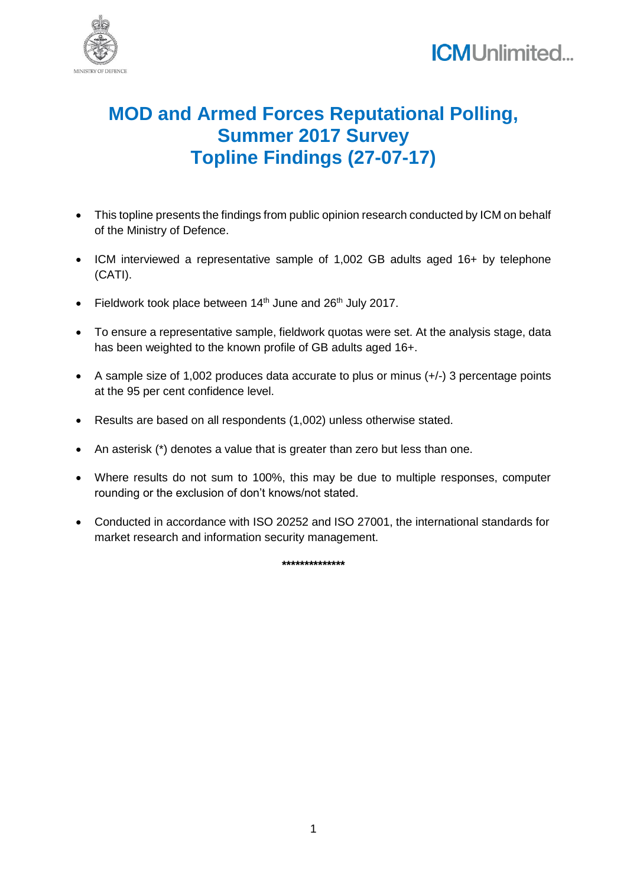



## **MOD and Armed Forces Reputational Polling, Summer 2017 Survey Topline Findings (27-07-17)**

- This topline presents the findings from public opinion research conducted by ICM on behalf of the Ministry of Defence.
- ICM interviewed a representative sample of 1,002 GB adults aged 16+ by telephone (CATI).
- Fieldwork took place between  $14<sup>th</sup>$  June and  $26<sup>th</sup>$  July 2017.
- To ensure a representative sample, fieldwork quotas were set. At the analysis stage, data has been weighted to the known profile of GB adults aged 16+.
- A sample size of 1,002 produces data accurate to plus or minus (+/-) 3 percentage points at the 95 per cent confidence level.
- Results are based on all respondents (1,002) unless otherwise stated.
- An asterisk (\*) denotes a value that is greater than zero but less than one.
- Where results do not sum to 100%, this may be due to multiple responses, computer rounding or the exclusion of don't knows/not stated.
- Conducted in accordance with ISO 20252 and ISO 27001, the international standards for market research and information security management.

**\*\*\*\*\*\*\*\*\*\*\*\*\*\***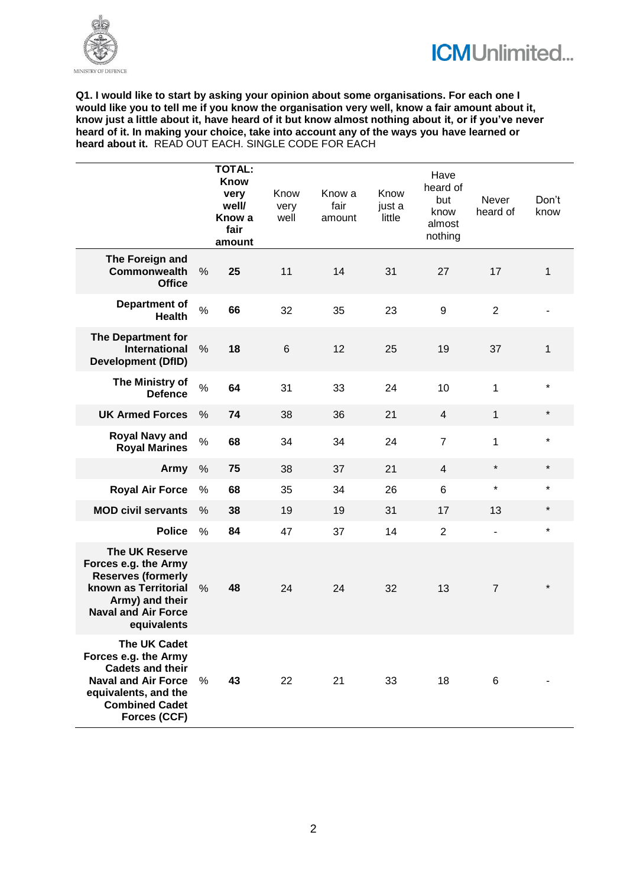



**Q1. I would like to start by asking your opinion about some organisations. For each one I would like you to tell me if you know the organisation very well, know a fair amount about it, know just a little about it, have heard of it but know almost nothing about it, or if you've never heard of it. In making your choice, take into account any of the ways you have learned or heard about it.** READ OUT EACH. SINGLE CODE FOR EACH

|                                                                                                                                                                       |               | <b>TOTAL:</b><br><b>Know</b><br>very<br>well/<br>Know a<br>fair<br>amount | Know<br>very<br>well | Know a<br>fair<br>amount | Know<br>just a<br>little | Have<br>heard of<br>but<br>know<br>almost<br>nothing | Never<br>heard of | Don't<br>know |
|-----------------------------------------------------------------------------------------------------------------------------------------------------------------------|---------------|---------------------------------------------------------------------------|----------------------|--------------------------|--------------------------|------------------------------------------------------|-------------------|---------------|
| The Foreign and<br><b>Commonwealth</b><br><b>Office</b>                                                                                                               | %             | 25                                                                        | 11                   | 14                       | 31                       | 27                                                   | 17                | 1             |
| <b>Department of</b><br><b>Health</b>                                                                                                                                 | $\%$          | 66                                                                        | 32                   | 35                       | 23                       | 9                                                    | $\overline{2}$    |               |
| The Department for<br><b>International</b><br><b>Development (DfID)</b>                                                                                               | $\%$          | 18                                                                        | 6                    | 12                       | 25                       | 19                                                   | 37                | 1             |
| The Ministry of<br><b>Defence</b>                                                                                                                                     | $\frac{0}{0}$ | 64                                                                        | 31                   | 33                       | 24                       | 10                                                   | 1                 | $\star$       |
| <b>UK Armed Forces</b>                                                                                                                                                | $\frac{0}{0}$ | 74                                                                        | 38                   | 36                       | 21                       | 4                                                    | $\mathbf{1}$      | $\star$       |
| <b>Royal Navy and</b><br><b>Royal Marines</b>                                                                                                                         | $\%$          | 68                                                                        | 34                   | 34                       | 24                       | $\overline{7}$                                       | 1                 | $\star$       |
| Army                                                                                                                                                                  | $\%$          | 75                                                                        | 38                   | 37                       | 21                       | 4                                                    | $\star$           | $\star$       |
| <b>Royal Air Force</b>                                                                                                                                                | %             | 68                                                                        | 35                   | 34                       | 26                       | 6                                                    | $\star$           | $\star$       |
| <b>MOD civil servants</b>                                                                                                                                             | $\%$          | 38                                                                        | 19                   | 19                       | 31                       | 17                                                   | 13                | $\star$       |
| <b>Police</b>                                                                                                                                                         | $\%$          | 84                                                                        | 47                   | 37                       | 14                       | $\overline{2}$                                       | ÷,                | $\star$       |
| The UK Reserve<br>Forces e.g. the Army<br><b>Reserves (formerly</b><br>known as Territorial<br>Army) and their<br><b>Naval and Air Force</b><br>equivalents           | %             | 48                                                                        | 24                   | 24                       | 32                       | 13                                                   | $\overline{7}$    | $\star$       |
| <b>The UK Cadet</b><br>Forces e.g. the Army<br><b>Cadets and their</b><br><b>Naval and Air Force</b><br>equivalents, and the<br><b>Combined Cadet</b><br>Forces (CCF) | $\%$          | 43                                                                        | 22                   | 21                       | 33                       | 18                                                   | 6                 |               |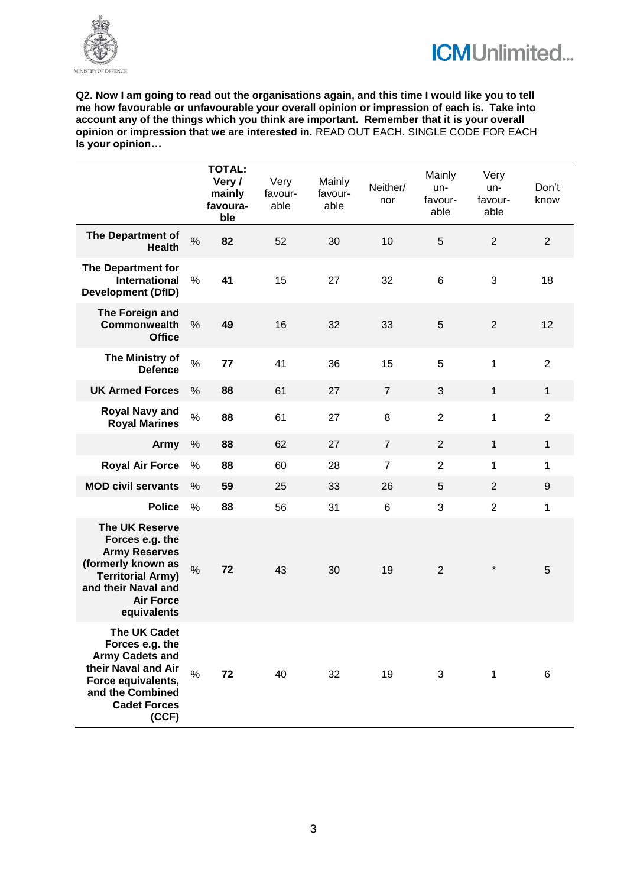



**Q2. Now I am going to read out the organisations again, and this time I would like you to tell me how favourable or unfavourable your overall opinion or impression of each is. Take into account any of the things which you think are important. Remember that it is your overall opinion or impression that we are interested in.** READ OUT EACH. SINGLE CODE FOR EACH **Is your opinion…**

|                                                                                                                                                                              |               | <b>TOTAL:</b><br>Very /<br>mainly<br>favoura-<br>ble | Very<br>favour-<br>able | Mainly<br>favour-<br>able | Neither/<br>nor | Mainly<br>un-<br>favour-<br>able | Very<br>un-<br>favour-<br>able | Don't<br>know  |
|------------------------------------------------------------------------------------------------------------------------------------------------------------------------------|---------------|------------------------------------------------------|-------------------------|---------------------------|-----------------|----------------------------------|--------------------------------|----------------|
| <b>The Department of</b><br><b>Health</b>                                                                                                                                    | $\frac{0}{0}$ | 82                                                   | 52                      | 30                        | 10              | $\overline{5}$                   | $\overline{2}$                 | $\overline{2}$ |
| The Department for<br><b>International</b><br><b>Development (DfID)</b>                                                                                                      | $\%$          | 41                                                   | 15                      | 27                        | 32              | 6                                | 3                              | 18             |
| The Foreign and<br><b>Commonwealth</b><br><b>Office</b>                                                                                                                      | $\%$          | 49                                                   | 16                      | 32                        | 33              | $\overline{5}$                   | $\overline{2}$                 | 12             |
| The Ministry of<br><b>Defence</b>                                                                                                                                            | $\%$          | 77                                                   | 41                      | 36                        | 15              | 5                                | 1                              | $\sqrt{2}$     |
| <b>UK Armed Forces</b>                                                                                                                                                       | $\%$          | 88                                                   | 61                      | 27                        | $\overline{7}$  | 3                                | $\mathbf{1}$                   | $\mathbf{1}$   |
| <b>Royal Navy and</b><br><b>Royal Marines</b>                                                                                                                                | $\%$          | 88                                                   | 61                      | 27                        | 8               | $\overline{2}$                   | 1                              | $\overline{2}$ |
| Army                                                                                                                                                                         | $\%$          | 88                                                   | 62                      | 27                        | $\overline{7}$  | $\overline{2}$                   | $\mathbf{1}$                   | $\mathbf{1}$   |
| <b>Royal Air Force</b>                                                                                                                                                       | %             | 88                                                   | 60                      | 28                        | $\overline{7}$  | $\overline{2}$                   | 1                              | 1              |
| <b>MOD civil servants</b>                                                                                                                                                    | %             | 59                                                   | 25                      | 33                        | 26              | 5                                | 2                              | 9              |
| <b>Police</b>                                                                                                                                                                | $\%$          | 88                                                   | 56                      | 31                        | 6               | $\mathfrak{B}$                   | $\overline{2}$                 | 1              |
| <b>The UK Reserve</b><br>Forces e.g. the<br><b>Army Reserves</b><br>(formerly known as<br><b>Territorial Army)</b><br>and their Naval and<br><b>Air Force</b><br>equivalents | $\frac{0}{0}$ | 72                                                   | 43                      | 30                        | 19              | $\overline{2}$                   | $^{\star}$                     | 5              |
| The UK Cadet<br>Forces e.g. the<br><b>Army Cadets and</b><br>their Naval and Air<br>Force equivalents,<br>and the Combined<br><b>Cadet Forces</b><br>(CCF)                   | $\frac{0}{0}$ | 72                                                   | 40                      | 32                        | 19              | 3                                | 1                              | 6              |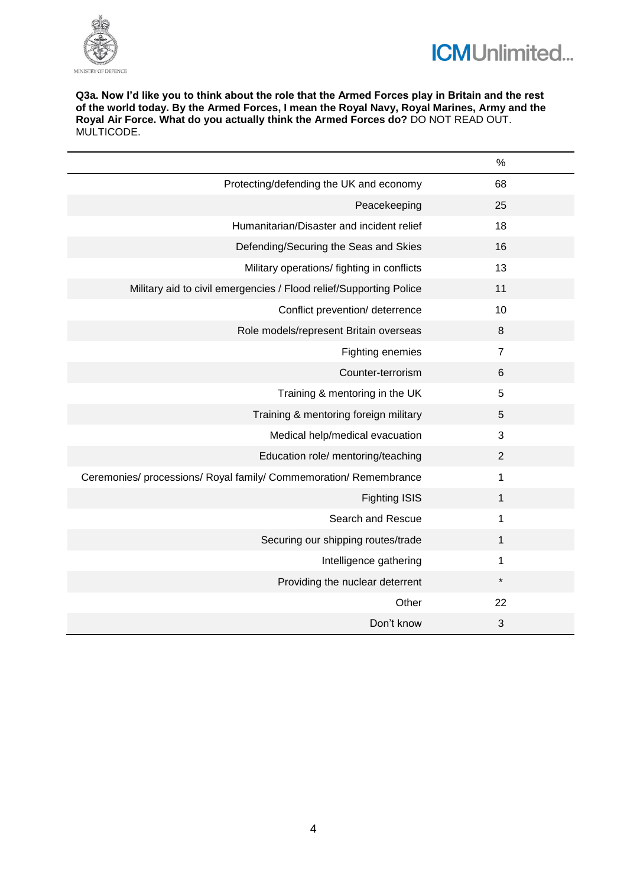



**Q3a. Now I'd like you to think about the role that the Armed Forces play in Britain and the rest of the world today. By the Armed Forces, I mean the Royal Navy, Royal Marines, Army and the Royal Air Force. What do you actually think the Armed Forces do?** DO NOT READ OUT. MULTICODE.

|                                                                    | $\%$           |
|--------------------------------------------------------------------|----------------|
| Protecting/defending the UK and economy                            | 68             |
| Peacekeeping                                                       | 25             |
| Humanitarian/Disaster and incident relief                          | 18             |
| Defending/Securing the Seas and Skies                              | 16             |
| Military operations/ fighting in conflicts                         | 13             |
| Military aid to civil emergencies / Flood relief/Supporting Police | 11             |
| Conflict prevention/ deterrence                                    | 10             |
| Role models/represent Britain overseas                             | 8              |
| Fighting enemies                                                   | $\overline{7}$ |
| Counter-terrorism                                                  | 6              |
| Training & mentoring in the UK                                     | 5              |
| Training & mentoring foreign military                              | 5              |
| Medical help/medical evacuation                                    | 3              |
| Education role/ mentoring/teaching                                 | $\overline{2}$ |
| Ceremonies/ processions/ Royal family/ Commemoration/ Remembrance  | 1              |
| <b>Fighting ISIS</b>                                               | 1              |
| Search and Rescue                                                  | 1              |
| Securing our shipping routes/trade                                 | 1              |
| Intelligence gathering                                             | 1              |
| Providing the nuclear deterrent                                    | *              |
| Other                                                              | 22             |
| Don't know                                                         | 3              |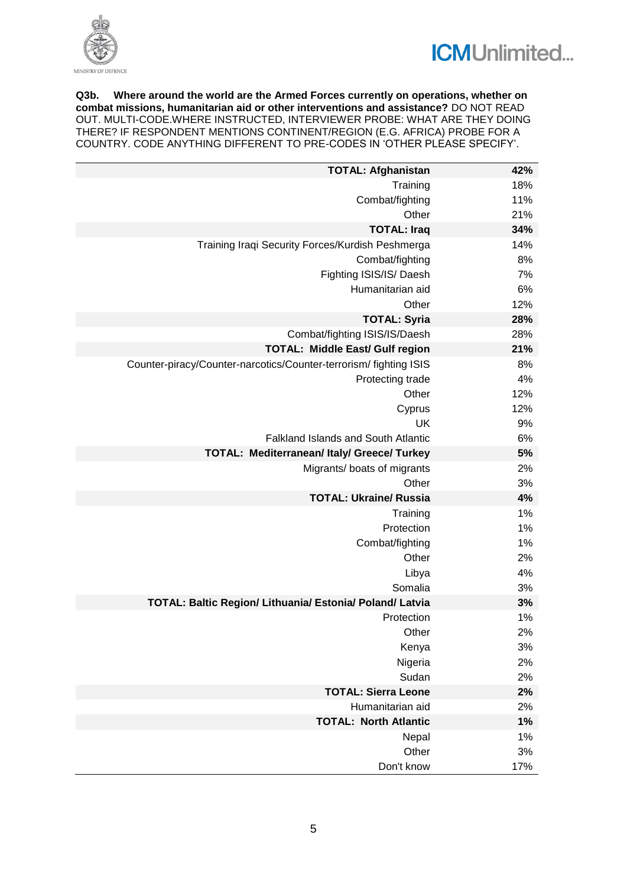



**Q3b. Where around the world are the Armed Forces currently on operations, whether on combat missions, humanitarian aid or other interventions and assistance?** DO NOT READ OUT. MULTI-CODE.WHERE INSTRUCTED, INTERVIEWER PROBE: WHAT ARE THEY DOING THERE? IF RESPONDENT MENTIONS CONTINENT/REGION (E.G. AFRICA) PROBE FOR A COUNTRY. CODE ANYTHING DIFFERENT TO PRE-CODES IN 'OTHER PLEASE SPECIFY'.

| <b>TOTAL: Afghanistan</b>                                         | 42% |
|-------------------------------------------------------------------|-----|
| Training                                                          | 18% |
| Combat/fighting                                                   | 11% |
| Other                                                             | 21% |
| <b>TOTAL: Iraq</b>                                                | 34% |
| Training Iraqi Security Forces/Kurdish Peshmerga                  | 14% |
| Combat/fighting                                                   | 8%  |
| Fighting ISIS/IS/Daesh                                            | 7%  |
| Humanitarian aid                                                  | 6%  |
| Other                                                             | 12% |
| <b>TOTAL: Syria</b>                                               | 28% |
| Combat/fighting ISIS/IS/Daesh                                     | 28% |
| <b>TOTAL: Middle East/ Gulf region</b>                            | 21% |
| Counter-piracy/Counter-narcotics/Counter-terrorism/ fighting ISIS | 8%  |
| Protecting trade                                                  | 4%  |
| Other                                                             | 12% |
| Cyprus                                                            | 12% |
| UK                                                                | 9%  |
| <b>Falkland Islands and South Atlantic</b>                        | 6%  |
| <b>TOTAL: Mediterranean/ Italy/ Greece/ Turkey</b>                | 5%  |
| Migrants/ boats of migrants                                       | 2%  |
| Other                                                             | 3%  |
| <b>TOTAL: Ukraine/ Russia</b>                                     | 4%  |
| Training                                                          | 1%  |
| Protection                                                        | 1%  |
| Combat/fighting                                                   | 1%  |
| Other                                                             | 2%  |
| Libya                                                             | 4%  |
| Somalia                                                           | 3%  |
| TOTAL: Baltic Region/ Lithuania/ Estonia/ Poland/ Latvia          | 3%  |
| Protection                                                        | 1%  |
| Other                                                             | 2%  |
| Kenya                                                             | 3%  |
| Nigeria                                                           | 2%  |
| Sudan                                                             | 2%  |
| <b>TOTAL: Sierra Leone</b>                                        | 2%  |
| Humanitarian aid                                                  | 2%  |
| <b>TOTAL: North Atlantic</b>                                      | 1%  |
| Nepal                                                             | 1%  |
| Other                                                             | 3%  |
| Don't know                                                        | 17% |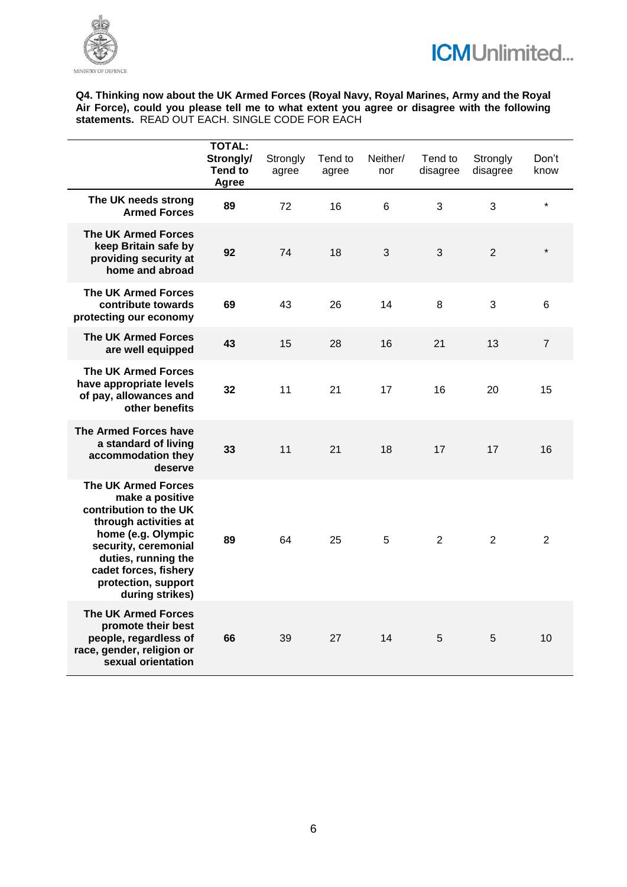



**Q4. Thinking now about the UK Armed Forces (Royal Navy, Royal Marines, Army and the Royal Air Force), could you please tell me to what extent you agree or disagree with the following statements.** READ OUT EACH. SINGLE CODE FOR EACH

|                                                                                                                                                                                                                                          | <b>TOTAL:</b><br>Strongly/<br><b>Tend to</b><br>Agree | Strongly<br>agree | Tend to<br>agree | Neither/<br>nor | Tend to<br>disagree | Strongly<br>disagree | Don't<br>know  |
|------------------------------------------------------------------------------------------------------------------------------------------------------------------------------------------------------------------------------------------|-------------------------------------------------------|-------------------|------------------|-----------------|---------------------|----------------------|----------------|
| The UK needs strong<br><b>Armed Forces</b>                                                                                                                                                                                               | 89                                                    | 72                | 16               | 6               | 3                   | 3                    | $\star$        |
| <b>The UK Armed Forces</b><br>keep Britain safe by<br>providing security at<br>home and abroad                                                                                                                                           | 92                                                    | 74                | 18               | 3               | 3                   | $\overline{2}$       | $\star$        |
| <b>The UK Armed Forces</b><br>contribute towards<br>protecting our economy                                                                                                                                                               | 69                                                    | 43                | 26               | 14              | 8                   | 3                    | 6              |
| <b>The UK Armed Forces</b><br>are well equipped                                                                                                                                                                                          | 43                                                    | 15                | 28               | 16              | 21                  | 13                   | $\overline{7}$ |
| <b>The UK Armed Forces</b><br>have appropriate levels<br>of pay, allowances and<br>other benefits                                                                                                                                        | 32                                                    | 11                | 21               | 17              | 16                  | 20                   | 15             |
| The Armed Forces have<br>a standard of living<br>accommodation they<br>deserve                                                                                                                                                           | 33                                                    | 11                | 21               | 18              | 17                  | 17                   | 16             |
| <b>The UK Armed Forces</b><br>make a positive<br>contribution to the UK<br>through activities at<br>home (e.g. Olympic<br>security, ceremonial<br>duties, running the<br>cadet forces, fishery<br>protection, support<br>during strikes) | 89                                                    | 64                | 25               | 5               | $\overline{2}$      | $\overline{2}$       | $\overline{2}$ |
| <b>The UK Armed Forces</b><br>promote their best<br>people, regardless of<br>race, gender, religion or<br>sexual orientation                                                                                                             | 66                                                    | 39                | 27               | 14              | 5                   | 5                    | 10             |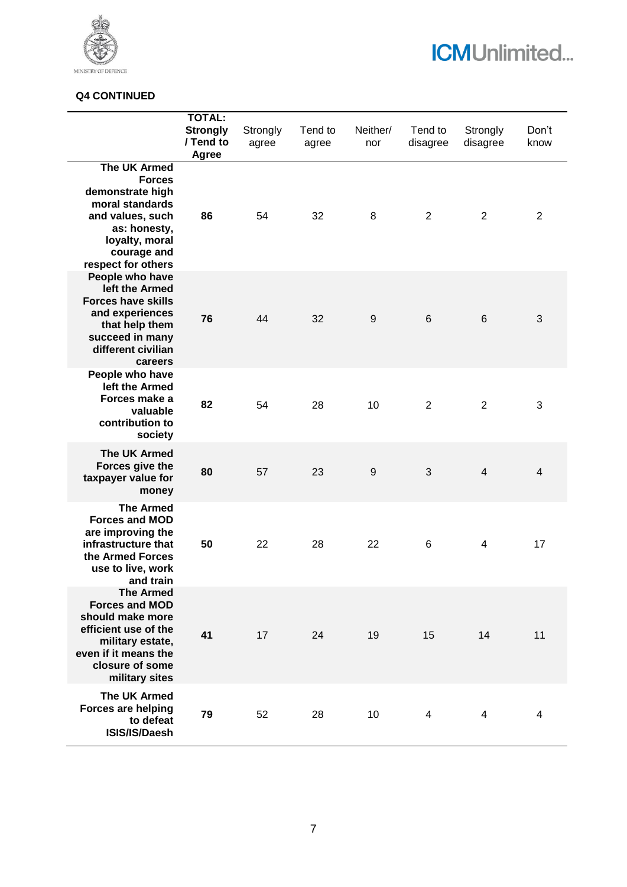

# **ICMUnlimited...**

## **Q4 CONTINUED**

|                                                                                                                                                                        | <b>TOTAL:</b><br><b>Strongly</b><br>/ Tend to<br>Agree | Strongly<br>agree | Tend to<br>agree | Neither/<br>nor  | Tend to<br>disagree | Strongly<br>disagree    | Don't<br>know            |
|------------------------------------------------------------------------------------------------------------------------------------------------------------------------|--------------------------------------------------------|-------------------|------------------|------------------|---------------------|-------------------------|--------------------------|
| <b>The UK Armed</b><br><b>Forces</b><br>demonstrate high<br>moral standards<br>and values, such<br>as: honesty,<br>loyalty, moral<br>courage and<br>respect for others | 86                                                     | 54                | 32               | 8                | $\overline{2}$      | $\overline{2}$          | $\overline{2}$           |
| People who have<br>left the Armed<br><b>Forces have skills</b><br>and experiences<br>that help them<br>succeed in many<br>different civilian<br>careers                | 76                                                     | 44                | 32               | $\boldsymbol{9}$ | $\,6\,$             | $6\phantom{1}6$         | 3                        |
| People who have<br>left the Armed<br>Forces make a<br>valuable<br>contribution to<br>society                                                                           | 82                                                     | 54                | 28               | 10               | 2                   | $\overline{2}$          | 3                        |
| <b>The UK Armed</b><br>Forces give the<br>taxpayer value for<br>money                                                                                                  | 80                                                     | 57                | 23               | 9                | 3                   | $\overline{\mathbf{4}}$ | $\overline{\mathcal{L}}$ |
| <b>The Armed</b><br><b>Forces and MOD</b><br>are improving the<br>infrastructure that<br>the Armed Forces<br>use to live, work<br>and train<br><b>The Armed</b>        | 50                                                     | 22                | 28               | 22               | $\,6$               | 4                       | 17                       |
| <b>Forces and MOD</b><br>should make more<br>efficient use of the<br>military estate,<br>even if it means the<br>closure of some<br>military sites                     | 41                                                     | 17                | 24               | 19               | 15                  | 14                      | 11                       |
| <b>The UK Armed</b><br>Forces are helping<br>to defeat<br>ISIS/IS/Daesh                                                                                                | 79                                                     | 52                | 28               | 10               | 4                   | 4                       | 4                        |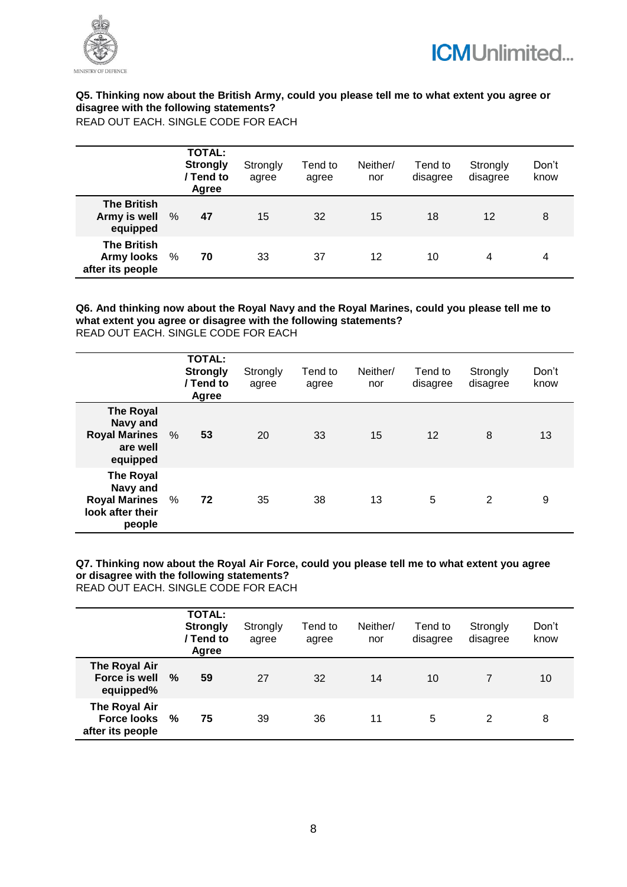



## **Q5. Thinking now about the British Army, could you please tell me to what extent you agree or disagree with the following statements?**

READ OUT EACH. SINGLE CODE FOR EACH

|                                                             |      | <b>TOTAL:</b><br><b>Strongly</b><br>/ Tend to<br>Agree | Strongly<br>agree | Tend to<br>agree | Neither/<br>nor | Tend to<br>disagree | Strongly<br>disagree | Don't<br>know |
|-------------------------------------------------------------|------|--------------------------------------------------------|-------------------|------------------|-----------------|---------------------|----------------------|---------------|
| <b>The British</b><br>Army is well<br>equipped              | $\%$ | 47                                                     | 15                | 32               | 15              | 18                  | 12                   | 8             |
| <b>The British</b><br><b>Army looks</b><br>after its people | %    | 70                                                     | 33                | 37               | 12              | 10                  | 4                    | 4             |

#### **Q6. And thinking now about the Royal Navy and the Royal Marines, could you please tell me to what extent you agree or disagree with the following statements?**  READ OUT EACH. SINGLE CODE FOR EACH

|                                                                                      | <b>TOTAL:</b><br><b>Strongly</b><br>/ Tend to<br>Agree | Strongly<br>agree | Tend to<br>agree | Neither/<br>nor | Tend to<br>disagree | Strongly<br>disagree | Don't<br>know |
|--------------------------------------------------------------------------------------|--------------------------------------------------------|-------------------|------------------|-----------------|---------------------|----------------------|---------------|
| The Royal<br>Navy and<br><b>Royal Marines</b><br>are well<br>equipped                | %<br>53                                                | 20                | 33               | 15              | 12                  | 8                    | 13            |
| <b>The Royal</b><br>Navy and<br><b>Royal Marines</b> %<br>look after their<br>people | 72                                                     | 35                | 38               | 13              | 5                   | 2                    | 9             |

## **Q7. Thinking now about the Royal Air Force, could you please tell me to what extent you agree or disagree with the following statements?**

READ OUT EACH. SINGLE CODE FOR EACH

|                                                         |   | <b>TOTAL:</b><br><b>Strongly</b><br>/ Tend to<br>Agree | Strongly<br>agree | Tend to<br>agree | Neither/<br>nor | Tend to<br>disagree | Strongly<br>disagree | Don't<br>know |
|---------------------------------------------------------|---|--------------------------------------------------------|-------------------|------------------|-----------------|---------------------|----------------------|---------------|
| The Royal Air<br>Force is well<br>equipped%             | % | 59                                                     | 27                | 32               | 14              | 10                  |                      | 10            |
| The Royal Air<br><b>Force looks</b><br>after its people | % | 75                                                     | 39                | 36               | 11              | 5                   | 2                    | 8             |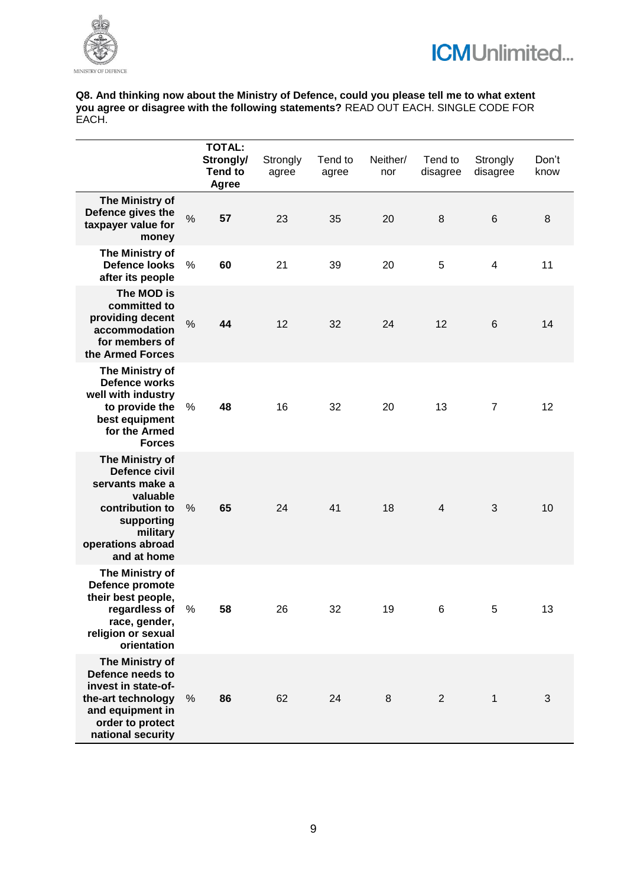



**Q8. And thinking now about the Ministry of Defence, could you please tell me to what extent you agree or disagree with the following statements?** READ OUT EACH. SINGLE CODE FOR EACH.

|                                                                                                                                                         |      | <b>TOTAL:</b><br>Strongly/<br><b>Tend to</b><br>Agree | Strongly<br>agree | Tend to<br>agree | Neither/<br>nor | Tend to<br>disagree | Strongly<br>disagree | Don't<br>know |
|---------------------------------------------------------------------------------------------------------------------------------------------------------|------|-------------------------------------------------------|-------------------|------------------|-----------------|---------------------|----------------------|---------------|
| The Ministry of<br>Defence gives the<br>taxpayer value for<br>money                                                                                     | $\%$ | 57                                                    | 23                | 35               | 20              | 8                   | 6                    | 8             |
| The Ministry of<br><b>Defence looks</b><br>after its people                                                                                             | %    | 60                                                    | 21                | 39               | 20              | 5                   | $\overline{4}$       | 11            |
| The MOD is<br>committed to<br>providing decent<br>accommodation<br>for members of<br>the Armed Forces                                                   | $\%$ | 44                                                    | 12                | 32               | 24              | 12                  | 6                    | 14            |
| The Ministry of<br><b>Defence works</b><br>well with industry<br>to provide the<br>best equipment<br>for the Armed<br><b>Forces</b>                     | %    | 48                                                    | 16                | 32               | 20              | 13                  | $\overline{7}$       | 12            |
| The Ministry of<br><b>Defence civil</b><br>servants make a<br>valuable<br>contribution to<br>supporting<br>military<br>operations abroad<br>and at home | %    | 65                                                    | 24                | 41               | 18              | 4                   | 3                    | 10            |
| The Ministry of<br>Defence promote<br>their best people,<br>regardless of<br>race, gender,<br>religion or sexual<br>orientation                         | %    | 58                                                    | 26                | 32               | 19              | 6                   | 5                    | 13            |
| The Ministry of<br>Defence needs to<br>invest in state-of-<br>the-art technology<br>and equipment in<br>order to protect<br>national security           | %    | 86                                                    | 62                | 24               | 8               | $\overline{2}$      | 1                    | 3             |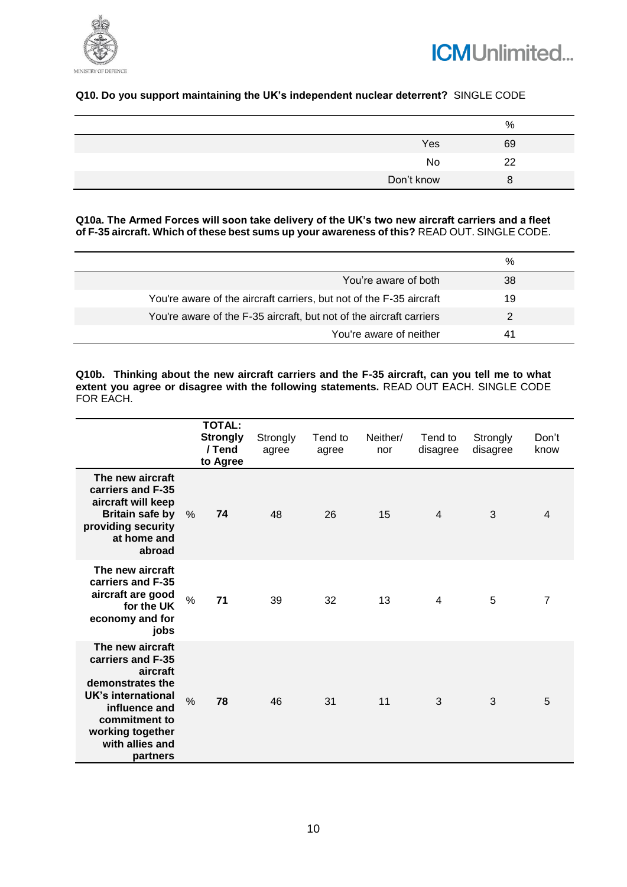



## **Q10. Do you support maintaining the UK's independent nuclear deterrent?** SINGLE CODE

|            | %  |
|------------|----|
| Yes        | 69 |
| No         | 22 |
| Don't know |    |

**Q10a. The Armed Forces will soon take delivery of the UK's two new aircraft carriers and a fleet of F-35 aircraft. Which of these best sums up your awareness of this?** READ OUT. SINGLE CODE.

|                                                                     | %  |
|---------------------------------------------------------------------|----|
| You're aware of both                                                | 38 |
| You're aware of the aircraft carriers, but not of the F-35 aircraft | 19 |
| You're aware of the F-35 aircraft, but not of the aircraft carriers |    |
| You're aware of neither                                             | 41 |

**Q10b. Thinking about the new aircraft carriers and the F-35 aircraft, can you tell me to what**  extent you agree or disagree with the following statements. READ OUT EACH. SINGLE CODE FOR EACH.

|                                                                                                                                                                                  | <b>TOTAL:</b><br><b>Strongly</b><br>/ Tend<br>to Agree | Strongly<br>agree | Tend to<br>agree | Neither/<br>nor | Tend to<br>disagree | Strongly<br>disagree | Don't<br>know  |
|----------------------------------------------------------------------------------------------------------------------------------------------------------------------------------|--------------------------------------------------------|-------------------|------------------|-----------------|---------------------|----------------------|----------------|
| The new aircraft<br>carriers and F-35<br>aircraft will keep<br><b>Britain safe by</b><br>providing security<br>at home and<br>abroad                                             | 74<br>$\%$                                             | 48                | 26               | 15              | $\overline{4}$      | 3                    | $\overline{4}$ |
| The new aircraft<br>carriers and F-35<br>aircraft are good<br>for the UK<br>economy and for<br>jobs                                                                              | $\frac{0}{0}$<br>71                                    | 39                | 32               | 13              | 4                   | 5                    | 7              |
| The new aircraft<br>carriers and F-35<br>aircraft<br>demonstrates the<br>UK's international<br>influence and<br>commitment to<br>working together<br>with allies and<br>partners | $\frac{0}{0}$<br>78                                    | 46                | 31               | 11              | 3                   | 3                    | 5              |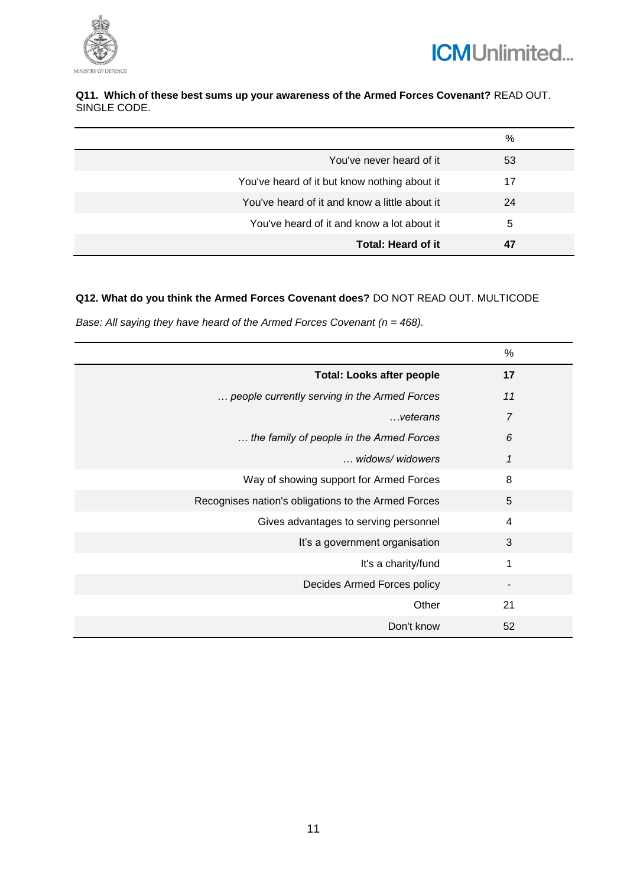



## **Q11. Which of these best sums up your awareness of the Armed Forces Covenant?** READ OUT. SINGLE CODE.

|                                               | %  |
|-----------------------------------------------|----|
| You've never heard of it                      | 53 |
| You've heard of it but know nothing about it  | 17 |
| You've heard of it and know a little about it | 24 |
| You've heard of it and know a lot about it    | 5  |
| Total: Heard of it                            | 47 |

## **Q12. What do you think the Armed Forces Covenant does?** DO NOT READ OUT. MULTICODE

*Base: All saying they have heard of the Armed Forces Covenant (n = 468).* 

|                                                     | %              |
|-----------------------------------------------------|----------------|
| <b>Total: Looks after people</b>                    | 17             |
| people currently serving in the Armed Forces        | 11             |
| veterans                                            | $\overline{7}$ |
| the family of people in the Armed Forces            | 6              |
| widows/widowers                                     | 1              |
| Way of showing support for Armed Forces             | 8              |
| Recognises nation's obligations to the Armed Forces | 5              |
| Gives advantages to serving personnel               | 4              |
| It's a government organisation                      | 3              |
| It's a charity/fund                                 | 1              |
| Decides Armed Forces policy                         |                |
| Other                                               | 21             |
| Don't know                                          | 52             |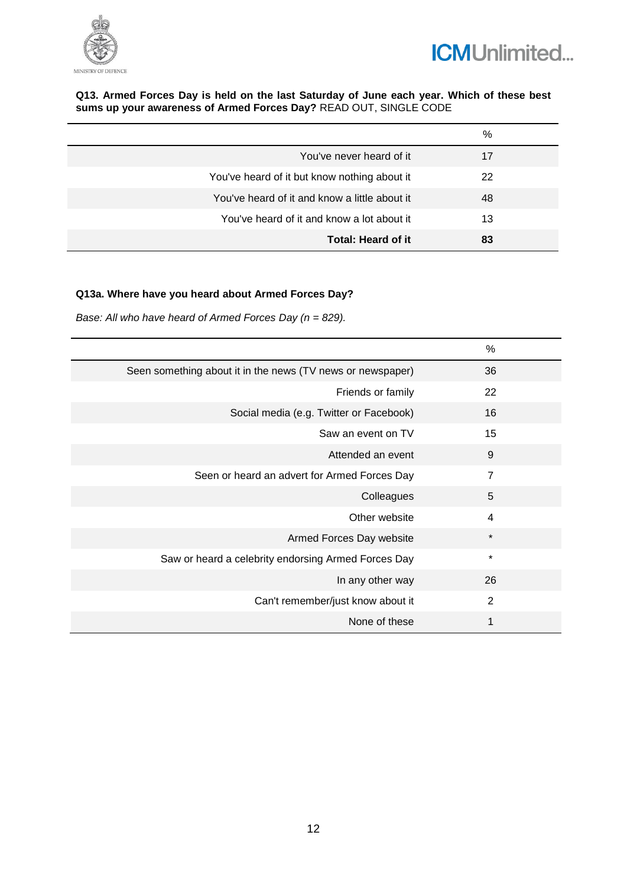



#### **Q13. Armed Forces Day is held on the last Saturday of June each year. Which of these best sums up your awareness of Armed Forces Day?** READ OUT, SINGLE CODE

|                                               | %  |
|-----------------------------------------------|----|
| You've never heard of it                      | 17 |
| You've heard of it but know nothing about it  | 22 |
| You've heard of it and know a little about it | 48 |
| You've heard of it and know a lot about it    | 13 |
| Total: Heard of it                            | 83 |

## **Q13a. Where have you heard about Armed Forces Day?**

*Base: All who have heard of Armed Forces Day (n = 829).*

|                                                            | %              |
|------------------------------------------------------------|----------------|
| Seen something about it in the news (TV news or newspaper) | 36             |
| Friends or family                                          | 22             |
| Social media (e.g. Twitter or Facebook)                    | 16             |
| Saw an event on TV                                         | 15             |
| Attended an event                                          | 9              |
| Seen or heard an advert for Armed Forces Day               | $\overline{7}$ |
| Colleagues                                                 | 5              |
| Other website                                              | 4              |
| Armed Forces Day website                                   | $\star$        |
| Saw or heard a celebrity endorsing Armed Forces Day        | $\star$        |
| In any other way                                           | 26             |
| Can't remember/just know about it                          | $\overline{2}$ |
| None of these                                              | 1              |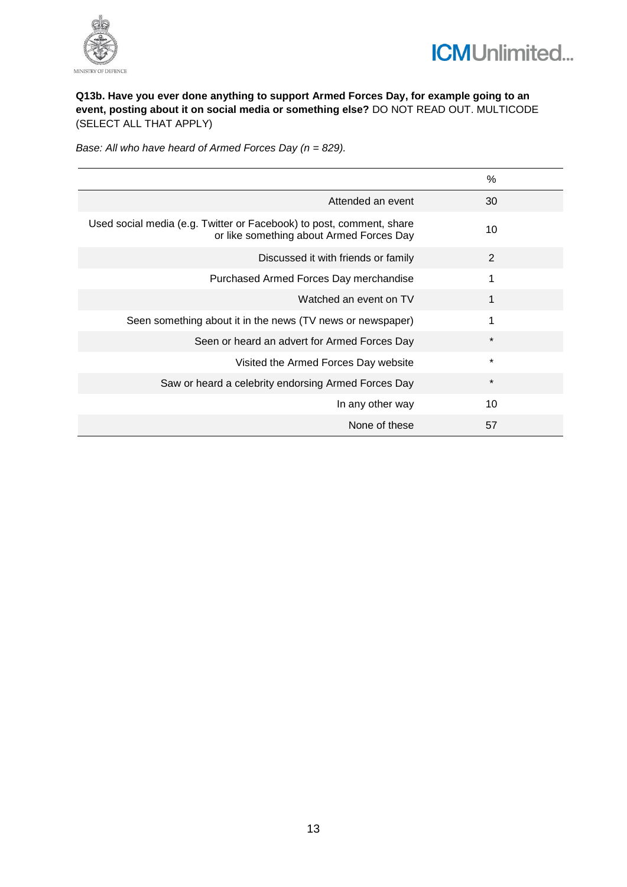



## **Q13b. Have you ever done anything to support Armed Forces Day, for example going to an event, posting about it on social media or something else?** DO NOT READ OUT. MULTICODE (SELECT ALL THAT APPLY)

*Base: All who have heard of Armed Forces Day (n = 829).*

|                                                                                                                  | $\%$    |
|------------------------------------------------------------------------------------------------------------------|---------|
| Attended an event                                                                                                | 30      |
| Used social media (e.g. Twitter or Facebook) to post, comment, share<br>or like something about Armed Forces Day | 10      |
| Discussed it with friends or family                                                                              | 2       |
| Purchased Armed Forces Day merchandise                                                                           | 1       |
| Watched an event on TV                                                                                           | 1       |
| Seen something about it in the news (TV news or newspaper)                                                       | 1       |
| Seen or heard an advert for Armed Forces Day                                                                     | $\star$ |
| Visited the Armed Forces Day website                                                                             | $\star$ |
| Saw or heard a celebrity endorsing Armed Forces Day                                                              | $\star$ |
| In any other way                                                                                                 | 10      |
| None of these                                                                                                    | 57      |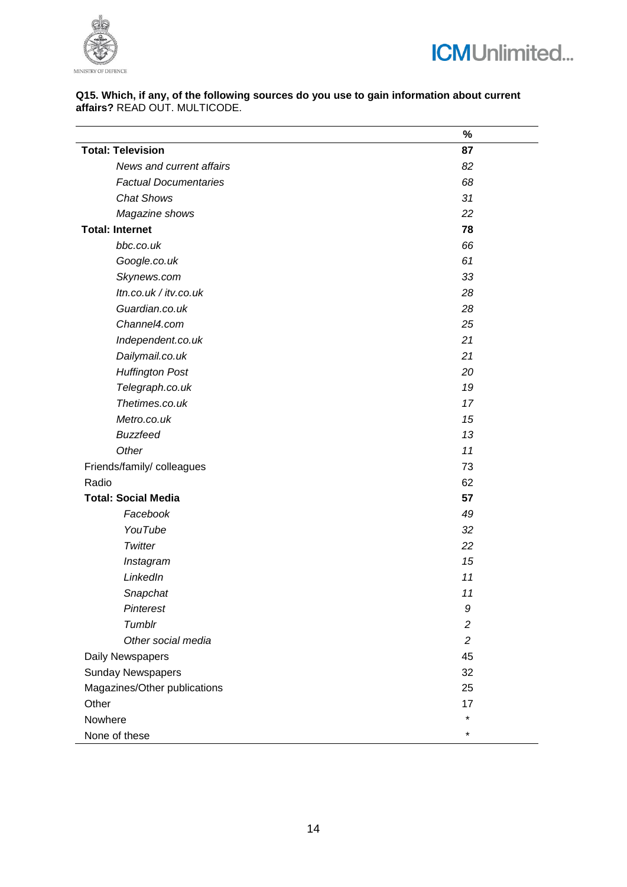



#### **Q15. Which, if any, of the following sources do you use to gain information about current affairs?** READ OUT. MULTICODE.

|                              | %              |
|------------------------------|----------------|
| <b>Total: Television</b>     | 87             |
| News and current affairs     | 82             |
| <b>Factual Documentaries</b> | 68             |
| <b>Chat Shows</b>            | 31             |
| Magazine shows               | 22             |
| <b>Total: Internet</b>       | 78             |
| bbc.co.uk                    | 66             |
| Google.co.uk                 | 61             |
| Skynews.com                  | 33             |
| Itn.co.uk / itv.co.uk        | 28             |
| Guardian.co.uk               | 28             |
| Channel4.com                 | 25             |
| Independent.co.uk            | 21             |
| Dailymail.co.uk              | 21             |
| <b>Huffington Post</b>       | 20             |
| Telegraph.co.uk              | 19             |
| Thetimes.co.uk               | 17             |
| Metro.co.uk                  | 15             |
| <b>Buzzfeed</b>              | 13             |
| Other                        | 11             |
| Friends/family/ colleagues   | 73             |
| Radio                        | 62             |
| <b>Total: Social Media</b>   | 57             |
| Facebook                     | 49             |
| YouTube                      | 32             |
| Twitter                      | 22             |
| Instagram                    | 15             |
| LinkedIn                     | 11             |
| Snapchat                     | 11             |
| <b>Pinterest</b>             | 9              |
| Tumblr                       | $\overline{c}$ |
| Other social media           | $\overline{c}$ |
| Daily Newspapers             | 45             |
| <b>Sunday Newspapers</b>     | 32             |
| Magazines/Other publications | 25             |
| Other                        | 17             |
| Nowhere                      | *              |
| None of these                | *              |